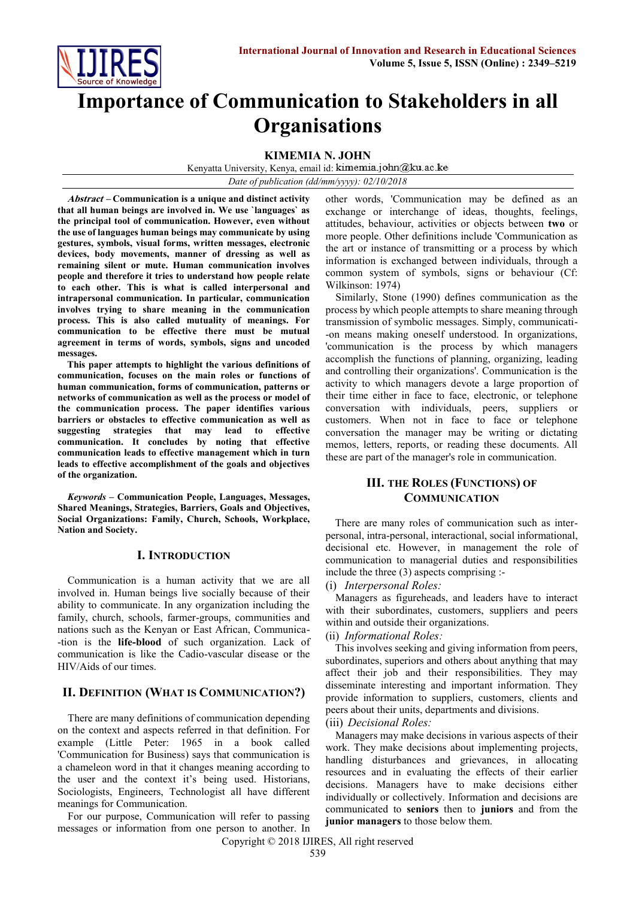

# **Importance of Communication to Stakeholders in all Organisations**

**KIMEMIA N. JOHN**

Kenyatta University, Kenya, email id: kimemia.john@ku.ac.ke

*Date of publication (dd/mm/yyyy): 02/10/2018*

**Abstract – Communication is a unique and distinct activity that all human beings are involved in. We use `languages` as the principal tool of communication. However, even without the use of languages human beings may communicate by using gestures, symbols, visual forms, written messages, electronic devices, body movements, manner of dressing as well as remaining silent or mute. Human communication involves people and therefore it tries to understand how people relate to each other. This is what is called interpersonal and intrapersonal communication. In particular, communication involves trying to share meaning in the communication process. This is also called mutuality of meanings. For communication to be effective there must be mutual agreement in terms of words, symbols, signs and uncoded messages.**

**This paper attempts to highlight the various definitions of communication, focuses on the main roles or functions of human communication, forms of communication, patterns or networks of communication as well as the process or model of the communication process. The paper identifies various barriers or obstacles to effective communication as well as suggesting strategies that may lead to effective communication. It concludes by noting that effective communication leads to effective management which in turn leads to effective accomplishment of the goals and objectives of the organization.**

*Keywords* **– Communication People, Languages, Messages, Shared Meanings, Strategies, Barriers, Goals and Objectives, Social Organizations: Family, Church, Schools, Workplace, Nation and Society.**

# **I. INTRODUCTION**

Communication is a human activity that we are all involved in. Human beings live socially because of their ability to communicate. In any organization including the family, church, schools, farmer-groups, communities and nations such as the Kenyan or East African, Communica- -tion is the **life-blood** of such organization. Lack of communication is like the Cadio-vascular disease or the HIV/Aids of our times.

# **II. DEFINITION (WHAT IS COMMUNICATION?)**

There are many definitions of communication depending on the context and aspects referred in that definition. For example (Little Peter: 1965 in a book called 'Communication for Business) says that communication is a chameleon word in that it changes meaning according to the user and the context it's being used. Historians, Sociologists, Engineers, Technologist all have different meanings for Communication.

For our purpose, Communication will refer to passing messages or information from one person to another. In other words, 'Communication may be defined as an exchange or interchange of ideas, thoughts, feelings, attitudes, behaviour, activities or objects between **two** or more people. Other definitions include 'Communication as the art or instance of transmitting or a process by which information is exchanged between individuals, through a common system of symbols, signs or behaviour (Cf: Wilkinson: 1974)

Similarly, Stone (1990) defines communication as the process by which people attempts to share meaning through transmission of symbolic messages. Simply, communicati- -on means making oneself understood. In organizations, 'communication is the process by which managers accomplish the functions of planning, organizing, leading and controlling their organizations'. Communication is the activity to which managers devote a large proportion of their time either in face to face, electronic, or telephone conversation with individuals, peers, suppliers or customers. When not in face to face or telephone conversation the manager may be writing or dictating memos, letters, reports, or reading these documents. All these are part of the manager's role in communication.

# **III. THE ROLES (FUNCTIONS) OF COMMUNICATION**

There are many roles of communication such as interpersonal, intra-personal, interactional, social informational, decisional etc. However, in management the role of communication to managerial duties and responsibilities include the three (3) aspects comprising :-

(i) *Interpersonal Roles:*

Managers as figureheads, and leaders have to interact with their subordinates, customers, suppliers and peers within and outside their organizations.

### (ii) *Informational Roles:*

This involves seeking and giving information from peers, subordinates, superiors and others about anything that may affect their job and their responsibilities. They may disseminate interesting and important information. They provide information to suppliers, customers, clients and peers about their units, departments and divisions. (iii) *Decisional Roles:* 

Managers may make decisions in various aspects of their work. They make decisions about implementing projects, handling disturbances and grievances, in allocating resources and in evaluating the effects of their earlier decisions. Managers have to make decisions either individually or collectively. Information and decisions are communicated to **seniors** then to **juniors** and from the **junior managers** to those below them.

Copyright © 2018 IJIRES, All right reserved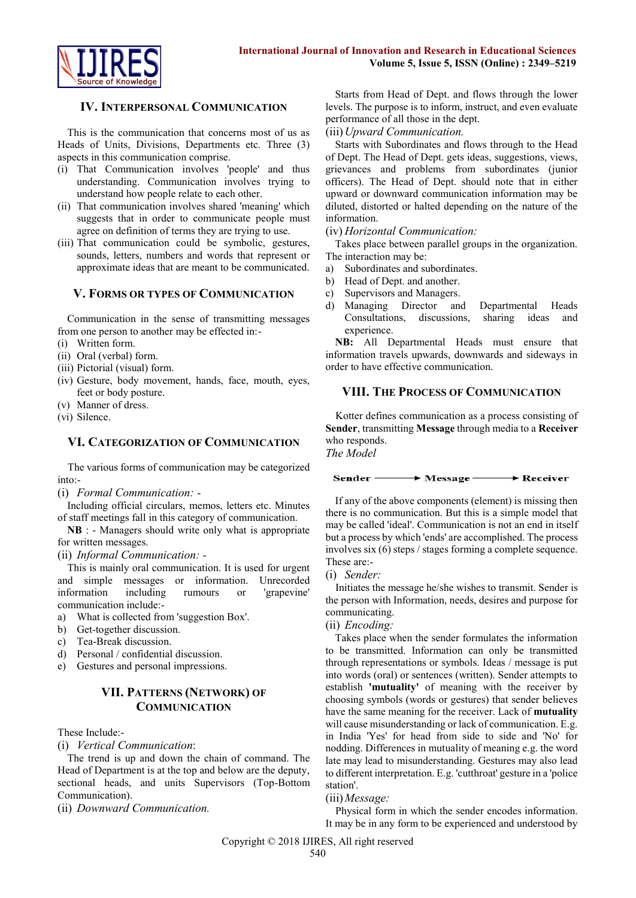

## **IV. INTERPERSONAL COMMUNICATION**

This is the communication that concerns most of us as Heads of Units, Divisions, Departments etc. Three (3) aspects in this communication comprise.

- (i) That Communication involves 'people' and thus understanding. Communication involves trying to understand how people relate to each other.
- (ii) That communication involves shared 'meaning' which suggests that in order to communicate people must agree on definition of terms they are trying to use.
- (iii) That communication could be symbolic, gestures, sounds, letters, numbers and words that represent or approximate ideas that are meant to be communicated.

### **V. FORMS OR TYPES OF COMMUNICATION**

Communication in the sense of transmitting messages from one person to another may be effected in:-

- (i) Written form.
- (ii) Oral (verbal) form.
- (iii) Pictorial (visual) form.
- (iv) Gesture, body movement, hands, face, mouth, eyes, feet or body posture.
- (v) Manner of dress.
- (vi) Silence.

### **VI. CATEGORIZATION OF COMMUNICATION**

The various forms of communication may be categorized into:-

(i) *Formal Communication: -*

Including official circulars, memos, letters etc. Minutes of staff meetings fall in this category of communication.

**NB** : - Managers should write only what is appropriate for written messages.

(ii) *Informal Communication: -*

This is mainly oral communication. It is used for urgent and simple messages or information. Unrecorded information including rumours or 'grapevine' communication include:-

- a) What is collected from 'suggestion Box'.
- b) Get-together discussion.
- c) Tea-Break discussion.
- d) Personal / confidential discussion.
- e) Gestures and personal impressions.

# **VII. PATTERNS (NETWORK) OF COMMUNICATION**

### These Include:-

(i) *Vertical Communication*:

The trend is up and down the chain of command. The Head of Department is at the top and below are the deputy, sectional heads, and units Supervisors (Top-Bottom Communication).

(ii) *Downward Communication.*

Starts from Head of Dept. and flows through the lower levels. The purpose is to inform, instruct, and even evaluate performance of all those in the dept.

#### (iii)*Upward Communication.*

Starts with Subordinates and flows through to the Head of Dept. The Head of Dept. gets ideas, suggestions, views, grievances and problems from subordinates (junior officers). The Head of Dept. should note that in either upward or downward communication information may be diluted, distorted or halted depending on the nature of the information.

#### (iv) *Horizontal Communication:*

Takes place between parallel groups in the organization. The interaction may be:

- a) Subordinates and subordinates.
- b) Head of Dept. and another.
- c) Supervisors and Managers.
- d) Managing Director and Departmental Heads Consultations, discussions, sharing ideas and experience.

**NB:** All Departmental Heads must ensure that information travels upwards, downwards and sideways in order to have effective communication.

# **VIII. THE PROCESS OF COMMUNICATION**

Kotter defines communication as a process consisting of **Sender**, transmitting **Message** through media to a **Receiver** who responds.

*The Model* 



If any of the above components (element) is missing then there is no communication. But this is a simple model that may be called 'ideal'. Communication is not an end in itself but a process by which 'ends' are accomplished. The process involves six (6) steps / stages forming a complete sequence. These are:-

#### (i) *Sender:*

Initiates the message he/she wishes to transmit. Sender is the person with Information, needs, desires and purpose for communicating.

(ii) *Encoding:*

Takes place when the sender formulates the information to be transmitted. Information can only be transmitted through representations or symbols. Ideas / message is put into words (oral) or sentences (written). Sender attempts to establish **'mutuality'** of meaning with the receiver by choosing symbols (words or gestures) that sender believes have the same meaning for the receiver. Lack of **mutuality** will cause misunderstanding or lack of communication. E.g. in India 'Yes' for head from side to side and 'No' for nodding. Differences in mutuality of meaning e.g. the word late may lead to misunderstanding. Gestures may also lead to different interpretation. E.g. 'cutthroat' gesture in a 'police station'.

#### (iii)*Message:*

Physical form in which the sender encodes information. It may be in any form to be experienced and understood by

Copyright © 2018 IJIRES, All right reserved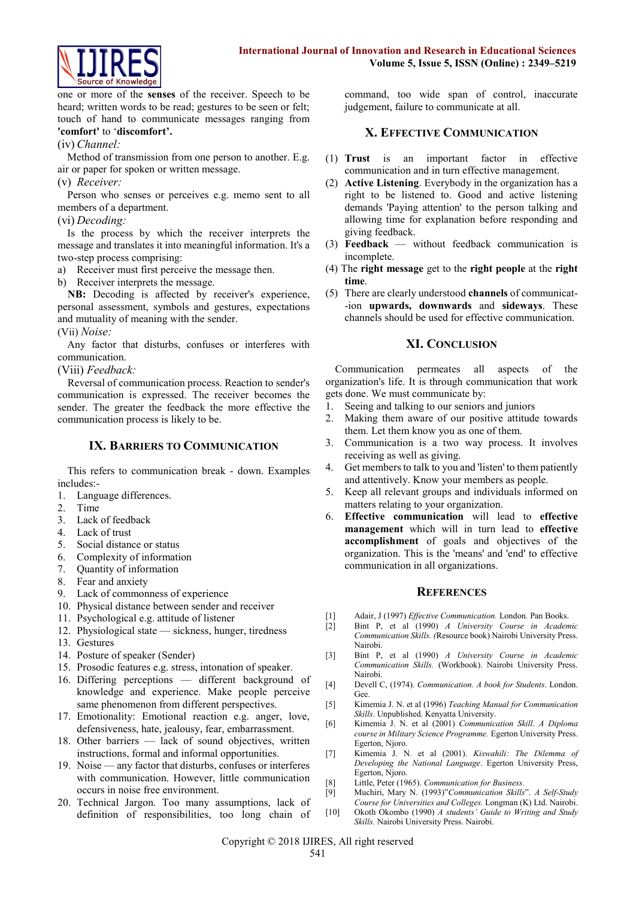

one or more of the **senses** of the receiver. Speech to be heard; written words to be read; gestures to be seen or felt; touch of hand to communicate messages ranging from **'comfort'** to '**discomfort'.**

#### (iv) *Channel:*

Method of transmission from one person to another. E.g. air or paper for spoken or written message.

#### (v) *Receiver:*

Person who senses or perceives e.g. memo sent to all members of a department.

#### (vi) *Decoding:*

Is the process by which the receiver interprets the message and translates it into meaningful information. It's a two-step process comprising:

a) Receiver must first perceive the message then.

b) Receiver interprets the message.

**NB:** Decoding is affected by receiver's experience, personal assessment, symbols and gestures, expectations and mutuality of meaning with the sender.

## (Vii) *Noise:*

Any factor that disturbs, confuses or interferes with communication.

(Viii) *Feedback:*

Reversal of communication process. Reaction to sender's communication is expressed. The receiver becomes the sender. The greater the feedback the more effective the communication process is likely to be.

## **IX. BARRIERS TO COMMUNICATION**

This refers to communication break - down. Examples includes:-

- 1. Language differences.
- 2. Time
- 3. Lack of feedback
- 4. Lack of trust
- 5. Social distance or status
- 6. Complexity of information
- 7. Quantity of information
- 8. Fear and anxiety
- 9. Lack of commonness of experience
- 10. Physical distance between sender and receiver
- 11. Psychological e.g. attitude of listener
- 12. Physiological state sickness, hunger, tiredness
- 13. Gestures
- 14. Posture of speaker (Sender)
- 15. Prosodic features e.g. stress, intonation of speaker.
- 16. Differing perceptions different background of knowledge and experience. Make people perceive same phenomenon from different perspectives.
- 17. Emotionality: Emotional reaction e.g. anger, love, defensiveness, hate, jealousy, fear, embarrassment.
- 18. Other barriers lack of sound objectives, written instructions, formal and informal opportunities.
- 19. Noise any factor that disturbs, confuses or interferes with communication. However, little communication occurs in noise free environment.
- 20. Technical Jargon. Too many assumptions, lack of definition of responsibilities, too long chain of

command, too wide span of control, inaccurate judgement, failure to communicate at all.

# **X. EFFECTIVE COMMUNICATION**

- (1) **Trust** is an important factor in effective communication and in turn effective management.
- (2) **Active Listening**. Everybody in the organization has a right to be listened to. Good and active listening demands 'Paying attention' to the person talking and allowing time for explanation before responding and giving feedback.
- (3) **Feedback** without feedback communication is incomplete.
- (4) The **right message** get to the **right people** at the **right time**.
- (5) There are clearly understood **channels** of communicat- -ion **upwards, downwards** and **sideways**. These channels should be used for effective communication.

# **XI. CONCLUSION**

Communication permeates all aspects of the organization's life. It is through communication that work gets done. We must communicate by:

- 1. Seeing and talking to our seniors and juniors
- 2. Making them aware of our positive attitude towards them. Let them know you as one of them.
- 3. Communication is a two way process. It involves receiving as well as giving.
- 4. Get members to talk to you and 'listen' to them patiently and attentively. Know your members as people.
- 5. Keep all relevant groups and individuals informed on matters relating to your organization.
- 6. **Effective communication** will lead to **effective management** which will in turn lead to **effective accomplishment** of goals and objectives of the organization. This is the 'means' and 'end' to effective communication in all organizations.

# **REFERENCES**

- [1] Adair, J (1997) *Effective Communication*. London. Pan Books.<br>[2] Bint P. et al. (1990) *A. University Course in Acaden*
- [2] Bint P, et al (1990) *A University Course in Academic Communication Skills. (*Resource book) Nairobi University Press. Nairobi.
- [3] Bint P, et al (1990) *A University Course in Academic Communication Skills.* (Workbook). Nairobi University Press. Nairobi.
- [4] Devell C, (1974). *Communication. A book for Students*. London. Gee.
- [5] Kimemia J. N. et al (1996) *Teaching Manual for Communication Skills*. Unpublished. Kenyatta University.
- [6] Kimemia J. N. et al (2001) *Communication Skill*. *A Diploma course in Military Science Programme.* Egerton University Press. Egerton, Njoro.
- [7] Kimemia J. N. et al (2001). *Kiswahili: The Dilemma of Developing the National Language*. Egerton University Press, Egerton, Njoro.
- [8] Little, Peter (1965). *Communication for Business.*
- [9] Muchiri, Mary N. (1993)"*Communication Skills*". *A Self-Study Course for Universities and Colleges.* Longman (K) Ltd. Nairobi.
- [10] Okoth Okombo (1990) *A students' Guide to Writing and Study Skills.* Nairobi University Press. Nairobi.